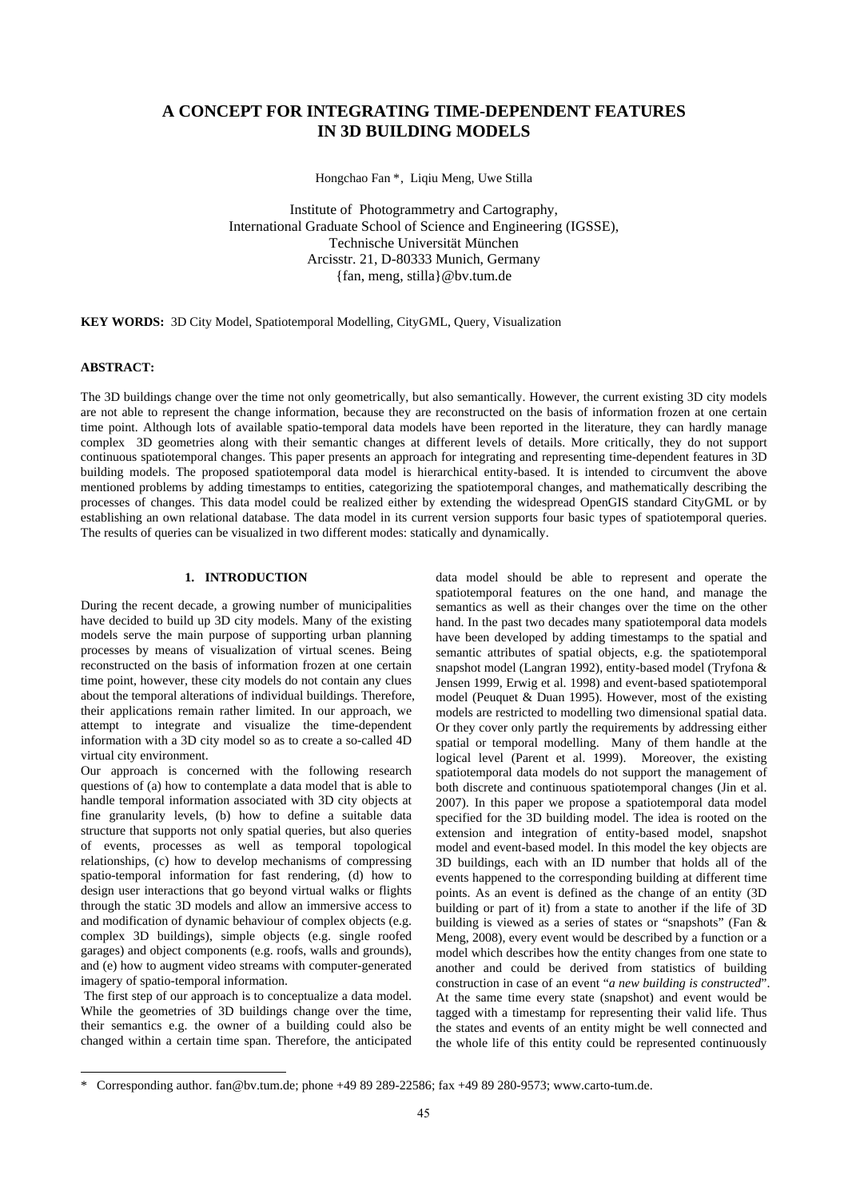# **A CONCEPT FOR INTEGRATING TIME-DEPENDENT FEATURES IN 3D BUILDING MODELS**

Hongchao Fan [\\*](#page-0-0), Liqiu Meng, Uwe Stilla

Institute of Photogrammetry and Cartography, International Graduate School of Science and Engineering (IGSSE), Technische Universität München Arcisstr. 21, D-80333 Munich, Germany {fan, meng, stilla}@bv.tum.de

**KEY WORDS:** 3D City Model, Spatiotemporal Modelling, CityGML, Query, Visualization

# **ABSTRACT:**

The 3D buildings change over the time not only geometrically, but also semantically. However, the current existing 3D city models are not able to represent the change information, because they are reconstructed on the basis of information frozen at one certain time point. Although lots of available spatio-temporal data models have been reported in the literature, they can hardly manage complex 3D geometries along with their semantic changes at different levels of details. More critically, they do not support continuous spatiotemporal changes. This paper presents an approach for integrating and representing time-dependent features in 3D building models. The proposed spatiotemporal data model is hierarchical entity-based. It is intended to circumvent the above mentioned problems by adding timestamps to entities, categorizing the spatiotemporal changes, and mathematically describing the processes of changes. This data model could be realized either by extending the widespread OpenGIS standard CityGML or by establishing an own relational database. The data model in its current version supports four basic types of spatiotemporal queries. The results of queries can be visualized in two different modes: statically and dynamically.

# **1. INTRODUCTION**

During the recent decade, a growing number of municipalities have decided to build up 3D city models. Many of the existing models serve the main purpose of supporting urban planning processes by means of visualization of virtual scenes. Being reconstructed on the basis of information frozen at one certain time point, however, these city models do not contain any clues about the temporal alterations of individual buildings. Therefore, their applications remain rather limited. In our approach, we attempt to integrate and visualize the time-dependent information with a 3D city model so as to create a so-called 4D virtual city environment.

Our approach is concerned with the following research questions of (a) how to contemplate a data model that is able to handle temporal information associated with 3D city objects at fine granularity levels, (b) how to define a suitable data structure that supports not only spatial queries, but also queries of events, processes as well as temporal topological relationships, (c) how to develop mechanisms of compressing spatio-temporal information for fast rendering, (d) how to design user interactions that go beyond virtual walks or flights through the static 3D models and allow an immersive access to and modification of dynamic behaviour of complex objects (e.g. complex 3D buildings), simple objects (e.g. single roofed garages) and object components (e.g. roofs, walls and grounds), and (e) how to augment video streams with computer-generated imagery of spatio-temporal information.

 The first step of our approach is to conceptualize a data model. While the geometries of 3D buildings change over the time, their semantics e.g. the owner of a building could also be changed within a certain time span. Therefore, the anticipated

l

data model should be able to represent and operate the spatiotemporal features on the one hand, and manage the semantics as well as their changes over the time on the other hand. In the past two decades many spatiotemporal data models have been developed by adding timestamps to the spatial and semantic attributes of spatial objects, e.g. the spatiotemporal snapshot model (Langran 1992), entity-based model (Tryfona & Jensen 1999, Erwig et al. 1998) and event-based spatiotemporal model (Peuquet & Duan 1995). However, most of the existing models are restricted to modelling two dimensional spatial data. Or they cover only partly the requirements by addressing either spatial or temporal modelling. Many of them handle at the logical level (Parent et al. 1999). Moreover, the existing spatiotemporal data models do not support the management of both discrete and continuous spatiotemporal changes (Jin et al. 2007). In this paper we propose a spatiotemporal data model specified for the 3D building model. The idea is rooted on the extension and integration of entity-based model, snapshot model and event-based model. In this model the key objects are 3D buildings, each with an ID number that holds all of the events happened to the corresponding building at different time points. As an event is defined as the change of an entity (3D building or part of it) from a state to another if the life of 3D building is viewed as a series of states or "snapshots" (Fan & Meng, 2008), every event would be described by a function or a model which describes how the entity changes from one state to another and could be derived from statistics of building construction in case of an event "*a new building is constructed*". At the same time every state (snapshot) and event would be tagged with a timestamp for representing their valid life. Thus the states and events of an entity might be well connected and the whole life of this entity could be represented continuously

<span id="page-0-0"></span><sup>\*</sup> Corresponding author. [fan@bv.tum.de](mailto:fan@bv.tum.de); phone +49 89 289-22586; fax +49 89 280-9573; www.carto-tum.de.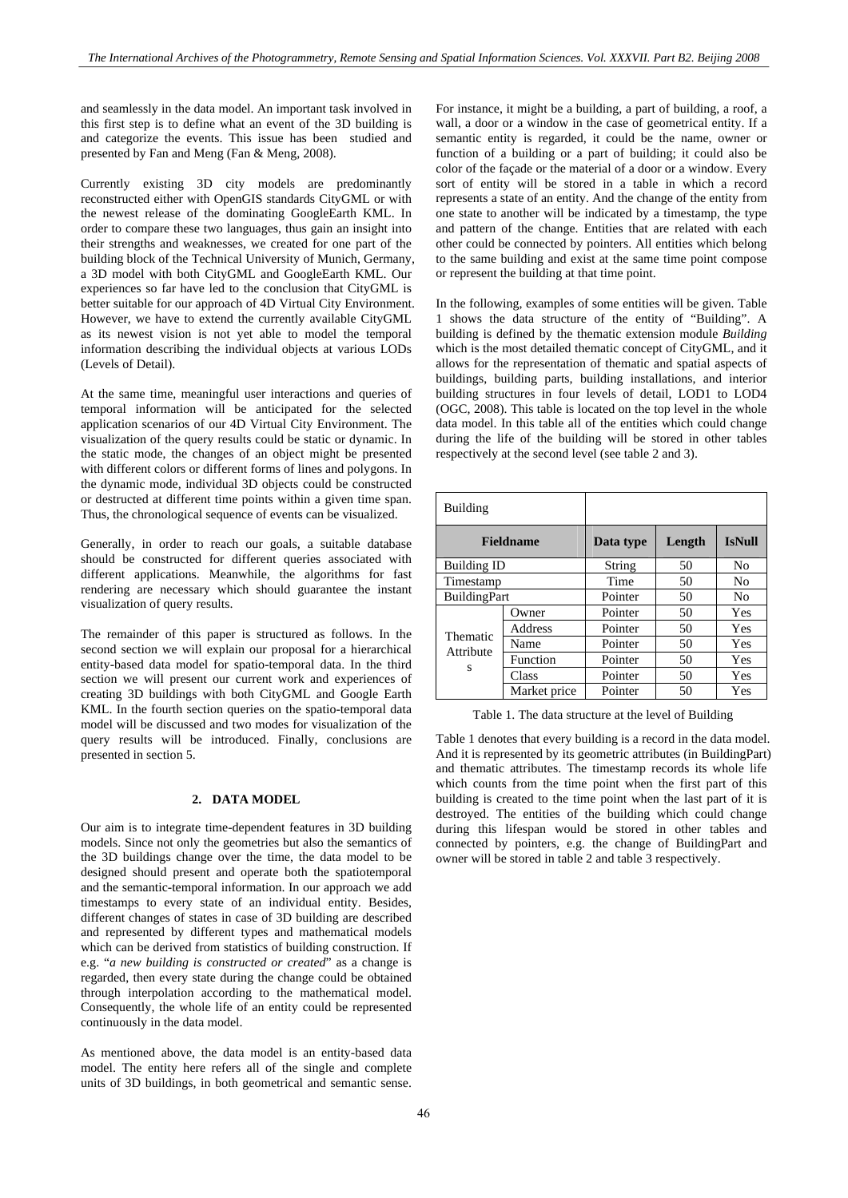and seamlessly in the data model. An important task involved in this first step is to define what an event of the 3D building is and categorize the events. This issue has been studied and presented by Fan and Meng (Fan & Meng, 2008).

Currently existing 3D city models are predominantly reconstructed either with OpenGIS standards CityGML or with the newest release of the dominating GoogleEarth KML. In order to compare these two languages, thus gain an insight into their strengths and weaknesses, we created for one part of the building block of the Technical University of Munich, Germany, a 3D model with both CityGML and GoogleEarth KML. Our experiences so far have led to the conclusion that CityGML is better suitable for our approach of 4D Virtual City Environment. However, we have to extend the currently available CityGML as its newest vision is not yet able to model the temporal information describing the individual objects at various LODs (Levels of Detail).

At the same time, meaningful user interactions and queries of temporal information will be anticipated for the selected application scenarios of our 4D Virtual City Environment. The visualization of the query results could be static or dynamic. In the static mode, the changes of an object might be presented with different colors or different forms of lines and polygons. In the dynamic mode, individual 3D objects could be constructed or destructed at different time points within a given time span. Thus, the chronological sequence of events can be visualized.

Generally, in order to reach our goals, a suitable database should be constructed for different queries associated with different applications. Meanwhile, the algorithms for fast rendering are necessary which should guarantee the instant visualization of query results.

The remainder of this paper is structured as follows. In the second section we will explain our proposal for a hierarchical entity-based data model for spatio-temporal data. In the third section we will present our current work and experiences of creating 3D buildings with both CityGML and Google Earth KML. In the fourth section queries on the spatio-temporal data model will be discussed and two modes for visualization of the query results will be introduced. Finally, conclusions are presented in section 5.

# **2. DATA MODEL**

Our aim is to integrate time-dependent features in 3D building models. Since not only the geometries but also the semantics of the 3D buildings change over the time, the data model to be designed should present and operate both the spatiotemporal and the semantic-temporal information. In our approach we add timestamps to every state of an individual entity. Besides, different changes of states in case of 3D building are described and represented by different types and mathematical models which can be derived from statistics of building construction. If e.g. "*a new building is constructed or created*" as a change is regarded, then every state during the change could be obtained through interpolation according to the mathematical model. Consequently, the whole life of an entity could be represented continuously in the data model.

As mentioned above, the data model is an entity-based data model. The entity here refers all of the single and complete units of 3D buildings, in both geometrical and semantic sense.

For instance, it might be a building, a part of building, a roof, a wall, a door or a window in the case of geometrical entity. If a semantic entity is regarded, it could be the name, owner or function of a building or a part of building; it could also be color of the façade or the material of a door or a window. Every sort of entity will be stored in a table in which a record represents a state of an entity. And the change of the entity from one state to another will be indicated by a timestamp, the type and pattern of the change. Entities that are related with each other could be connected by pointers. All entities which belong to the same building and exist at the same time point compose or represent the building at that time point.

In the following, examples of some entities will be given. Table 1 shows the data structure of the entity of "Building". A building is defined by the thematic extension module *Building* which is the most detailed thematic concept of CityGML, and it allows for the representation of thematic and spatial aspects of buildings, building parts, building installations, and interior building structures in four levels of detail, LOD1 to LOD4 (OGC, 2008). This table is located on the top level in the whole data model. In this table all of the entities which could change during the life of the building will be stored in other tables respectively at the second level (see table 2 and 3).

| Building                   |              |           |        |                |
|----------------------------|--------------|-----------|--------|----------------|
| <b>Fieldname</b>           |              | Data type | Length | <b>IsNull</b>  |
| <b>Building ID</b>         |              | String    | 50     | N <sub>0</sub> |
| Timestamp                  |              | Time      | 50     | N <sub>0</sub> |
| <b>BuildingPart</b>        |              | Pointer   | 50     | N <sub>0</sub> |
| Thematic<br>Attribute<br>S | Owner        | Pointer   | 50     | Yes            |
|                            | Address      | Pointer   | 50     | Yes            |
|                            | Name         | Pointer   | 50     | Yes            |
|                            | Function     | Pointer   | 50     | Yes            |
|                            | Class        | Pointer   | 50     | Yes            |
|                            | Market price | Pointer   | 50     | Yes            |

Table 1. The data structure at the level of Building

Table 1 denotes that every building is a record in the data model. And it is represented by its geometric attributes (in BuildingPart) and thematic attributes. The timestamp records its whole life which counts from the time point when the first part of this building is created to the time point when the last part of it is destroyed. The entities of the building which could change during this lifespan would be stored in other tables and connected by pointers, e.g. the change of BuildingPart and owner will be stored in table 2 and table 3 respectively.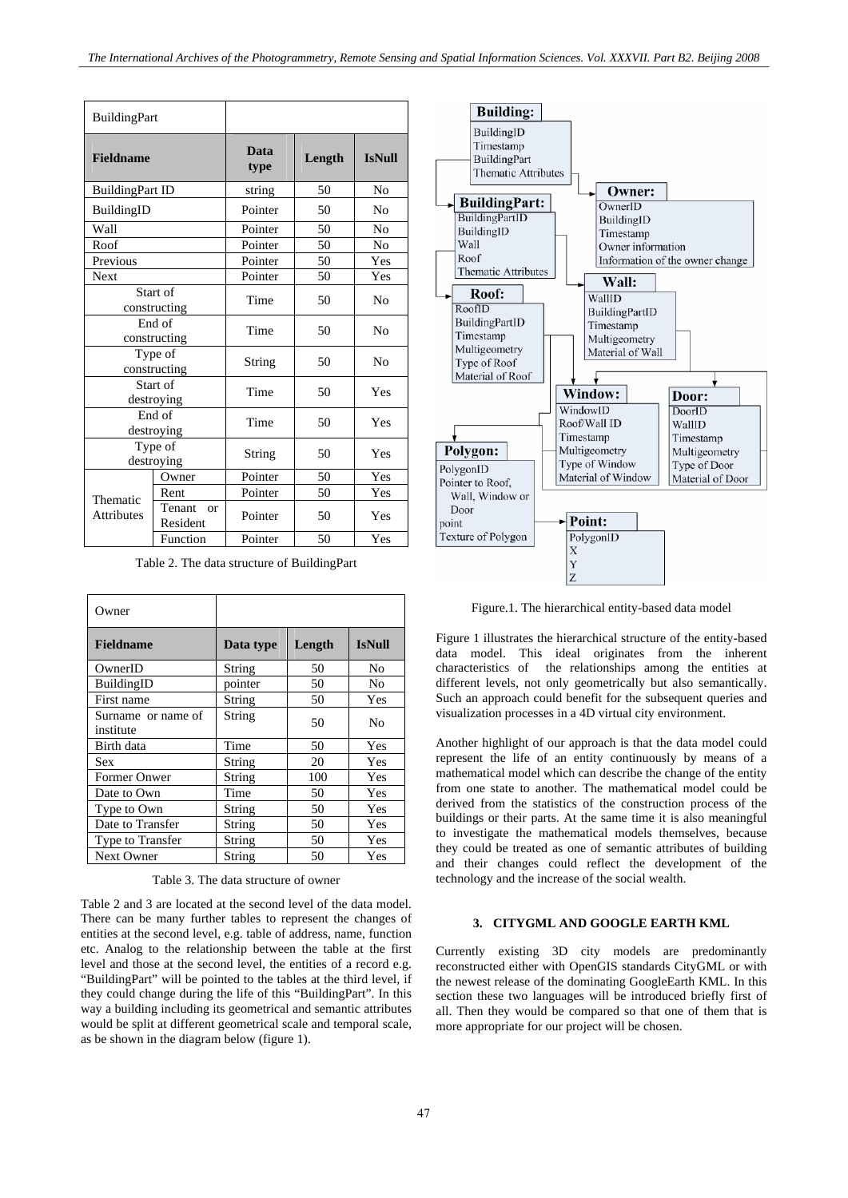| <b>BuildingPart</b>      |                          |                     |        |                |
|--------------------------|--------------------------|---------------------|--------|----------------|
| <b>Fieldname</b>         |                          | <b>Data</b><br>type | Length | <b>IsNull</b>  |
| <b>BuildingPart ID</b>   |                          | string              | 50     | N <sub>0</sub> |
| BuildingID               |                          | Pointer             | 50     | N <sub>0</sub> |
| Wall                     |                          | Pointer             | 50     | N <sub>0</sub> |
| Roof                     |                          | Pointer             | 50     | N <sub>0</sub> |
| Previous                 |                          | Pointer             | 50     | Yes            |
| <b>Next</b>              |                          | Pointer             | 50     | Yes            |
| Start of<br>constructing |                          | Time                | 50     | N <sub>0</sub> |
| End of<br>constructing   |                          | Time                | 50     | N <sub>0</sub> |
| Type of<br>constructing  |                          | String              | 50     | N <sub>0</sub> |
| Start of<br>destroying   |                          | Time                | 50     | Yes            |
| End of<br>destroying     |                          | Time                | 50     | Yes            |
| Type of<br>destroying    |                          | String              | 50     | Yes            |
| Thematic<br>Attributes   | Owner                    | Pointer             | 50     | Yes            |
|                          | Rent                     | Pointer             | 50     | Yes            |
|                          | Tenant<br>or<br>Resident | Pointer             | 50     | Yes            |
|                          | Function                 | Pointer             | 50     | Yes            |

Table 2. The data structure of BuildingPart

| Owner                           |           |        |                |
|---------------------------------|-----------|--------|----------------|
| <b>Fieldname</b>                | Data type | Length | <b>IsNull</b>  |
| OwnerID                         | String    | 50     | No             |
| BuildingID                      | pointer   | 50     | N <sub>0</sub> |
| First name                      | String    | 50     | Yes            |
| Surname or name of<br>institute | String    | 50     | N <sub>0</sub> |
| Birth data                      | Time      | 50     | Yes            |
| Sex                             | String    | 20     | <b>Yes</b>     |
| Former Onwer                    | String    | 100    | Yes            |
| Date to Own                     | Time      | 50     | Yes            |
| Type to Own                     | String    | 50     | Yes            |
| Date to Transfer                | String    | 50     | <b>Yes</b>     |
| Type to Transfer                | String    | 50     | Yes            |
| <b>Next Owner</b>               | String    | 50     | Yes            |

Table 3. The data structure of owner

Table 2 and 3 are located at the second level of the data model. There can be many further tables to represent the changes of entities at the second level, e.g. table of address, name, function etc. Analog to the relationship between the table at the first level and those at the second level, the entities of a record e.g. "BuildingPart" will be pointed to the tables at the third level, if they could change during the life of this "BuildingPart". In this way a building including its geometrical and semantic attributes would be split at different geometrical scale and temporal scale, as be shown in the diagram below (figure 1).



Figure.1. The hierarchical entity-based data model

Figure 1 illustrates the hierarchical structure of the entity-based data model. This ideal originates from the inherent characteristics of the relationships among the entities at different levels, not only geometrically but also semantically. Such an approach could benefit for the subsequent queries and visualization processes in a 4D virtual city environment.

Another highlight of our approach is that the data model could represent the life of an entity continuously by means of a mathematical model which can describe the change of the entity from one state to another. The mathematical model could be derived from the statistics of the construction process of the buildings or their parts. At the same time it is also meaningful to investigate the mathematical models themselves, because they could be treated as one of semantic attributes of building and their changes could reflect the development of the technology and the increase of the social wealth.

### **3. CITYGML AND GOOGLE EARTH KML**

Currently existing 3D city models are predominantly reconstructed either with OpenGIS standards CityGML or with the newest release of the dominating GoogleEarth KML. In this section these two languages will be introduced briefly first of all. Then they would be compared so that one of them that is more appropriate for our project will be chosen.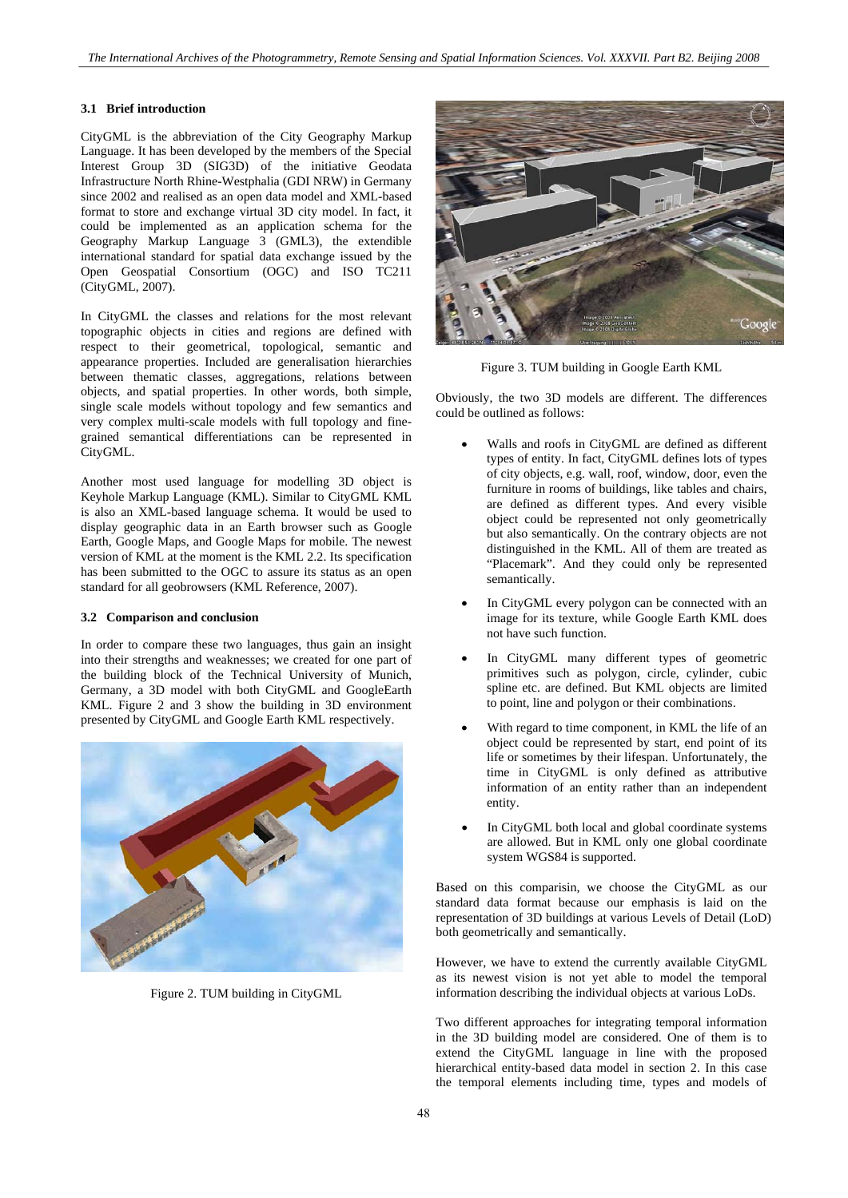### **3.1 Brief introduction**

CityGML is the abbreviation of the City Geography Markup Language. It has been developed by the members of the Special Interest Group 3D (SIG3D) of the initiative Geodata Infrastructure North Rhine-Westphalia (GDI NRW) in Germany since 2002 and realised as an open data model and XML-based format to store and exchange virtual 3D city model. In fact, it could be implemented as an application schema for the Geography Markup Language 3 (GML3), the extendible international standard for spatial data exchange issued by the Open Geospatial Consortium (OGC) and ISO TC211 (CityGML, 2007).

In CityGML the classes and relations for the most relevant topographic objects in cities and regions are defined with respect to their geometrical, topological, semantic and appearance properties. Included are generalisation hierarchies between thematic classes, aggregations, relations between objects, and spatial properties. In other words, both simple, single scale models without topology and few semantics and very complex multi-scale models with full topology and finegrained semantical differentiations can be represented in CityGML.

Another most used language for modelling 3D object is Keyhole Markup Language (KML). Similar to CityGML KML is also an XML-based language schema. It would be used to display geographic data in an Earth browser such as Google Earth, Google Maps, and Google Maps for mobile. The newest version of KML at the moment is the KML 2.2. Its specification has been submitted to the OGC to assure its status as an open standard for all geobrowsers (KML Reference, 2007).

#### **3.2 Comparison and conclusion**

In order to compare these two languages, thus gain an insight into their strengths and weaknesses; we created for one part of the building block of the Technical University of Munich, Germany, a 3D model with both CityGML and GoogleEarth KML. Figure 2 and 3 show the building in 3D environment presented by CityGML and Google Earth KML respectively.



Figure 2. TUM building in CityGML



Figure 3. TUM building in Google Earth KML

Obviously, the two 3D models are different. The differences could be outlined as follows:

- Walls and roofs in CityGML are defined as different types of entity. In fact, CityGML defines lots of types of city objects, e.g. wall, roof, window, door, even the furniture in rooms of buildings, like tables and chairs, are defined as different types. And every visible object could be represented not only geometrically but also semantically. On the contrary objects are not distinguished in the KML. All of them are treated as "Placemark". And they could only be represented semantically.
- In CityGML every polygon can be connected with an image for its texture, while Google Earth KML does not have such function.
- In CityGML many different types of geometric primitives such as polygon, circle, cylinder, cubic spline etc. are defined. But KML objects are limited to point, line and polygon or their combinations.
- With regard to time component, in KML the life of an object could be represented by start, end point of its life or sometimes by their lifespan. Unfortunately, the time in CityGML is only defined as attributive information of an entity rather than an independent entity.
- In CityGML both local and global coordinate systems are allowed. But in KML only one global coordinate system WGS84 is supported.

Based on this comparisin, we choose the CityGML as our standard data format because our emphasis is laid on the representation of 3D buildings at various Levels of Detail (LoD) both geometrically and semantically.

However, we have to extend the currently available CityGML as its newest vision is not yet able to model the temporal information describing the individual objects at various LoDs.

Two different approaches for integrating temporal information in the 3D building model are considered. One of them is to extend the CityGML language in line with the proposed hierarchical entity-based data model in section 2. In this case the temporal elements including time, types and models of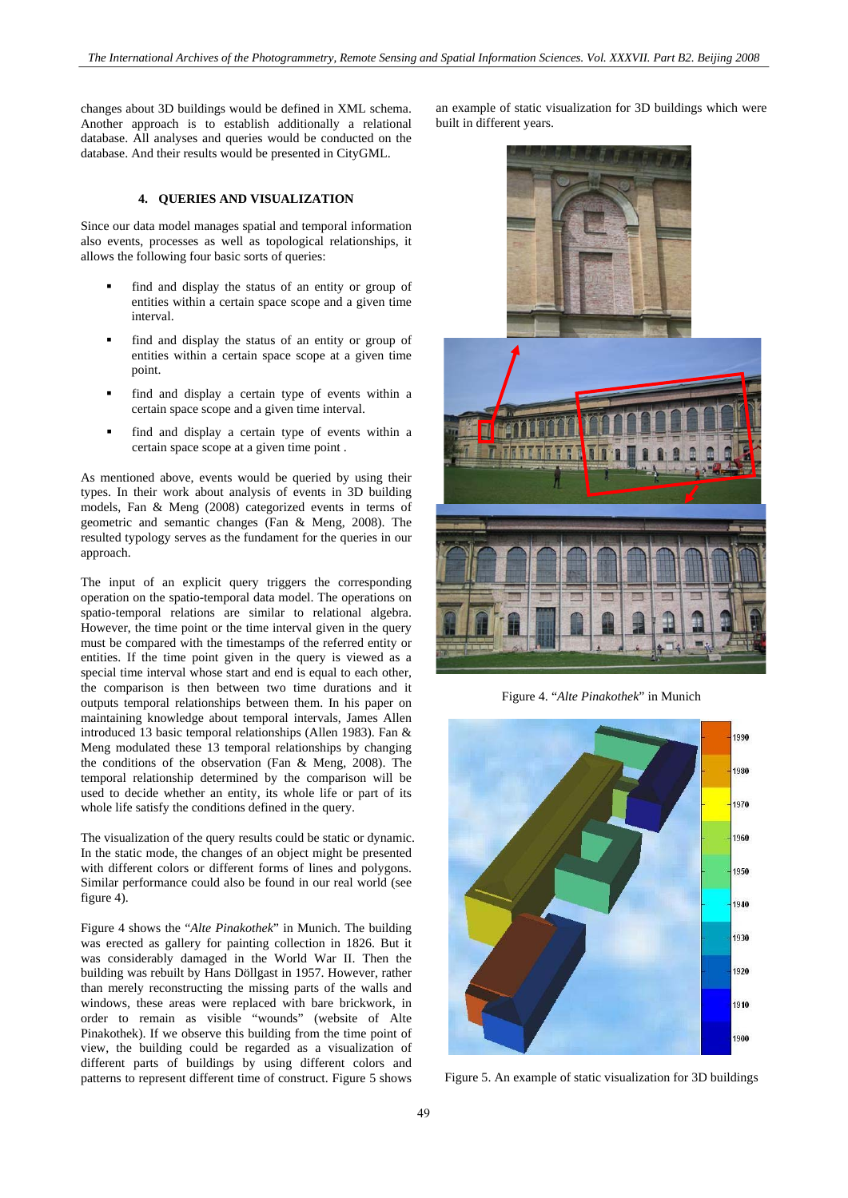changes about 3D buildings would be defined in XML schema. Another approach is to establish additionally a relational database. All analyses and queries would be conducted on the database. And their results would be presented in CityGML.

### **4. QUERIES AND VISUALIZATION**

Since our data model manages spatial and temporal information also events, processes as well as topological relationships, it allows the following four basic sorts of queries:

- find and display the status of an entity or group of entities within a certain space scope and a given time interval.
- find and display the status of an entity or group of entities within a certain space scope at a given time point.
- find and display a certain type of events within a certain space scope and a given time interval.
- find and display a certain type of events within a certain space scope at a given time point .

As mentioned above, events would be queried by using their types. In their work about analysis of events in 3D building models, Fan & Meng (2008) categorized events in terms of geometric and semantic changes (Fan & Meng, 2008). The resulted typology serves as the fundament for the queries in our approach.

The input of an explicit query triggers the corresponding operation on the spatio-temporal data model. The operations on spatio-temporal relations are similar to relational algebra. However, the time point or the time interval given in the query must be compared with the timestamps of the referred entity or entities. If the time point given in the query is viewed as a special time interval whose start and end is equal to each other, the comparison is then between two time durations and it outputs temporal relationships between them. In his paper on maintaining knowledge about temporal intervals, James Allen introduced 13 basic temporal relationships (Allen 1983). Fan & Meng modulated these 13 temporal relationships by changing the conditions of the observation (Fan & Meng, 2008). The temporal relationship determined by the comparison will be used to decide whether an entity, its whole life or part of its whole life satisfy the conditions defined in the query.

The visualization of the query results could be static or dynamic. In the static mode, the changes of an object might be presented with different colors or different forms of lines and polygons. Similar performance could also be found in our real world (see figure 4).

Figure 4 shows the "*Alte Pinakothek*" in Munich. The building was erected as gallery for painting collection in 1826. But it was considerably damaged in the World War II. Then the building was rebuilt by Hans Döllgast in 1957. However, rather than merely reconstructing the missing parts of the walls and windows, these areas were replaced with bare brickwork, in order to remain as visible "wounds" (website of Alte Pinakothek). If we observe this building from the time point of view, the building could be regarded as a visualization of different parts of buildings by using different colors and patterns to represent different time of construct. Figure 5 shows

an example of static visualization for 3D buildings which were built in different years.





Figure 4. "*Alte Pinakothek*" in Munich



Figure 5. An example of static visualization for 3D buildings